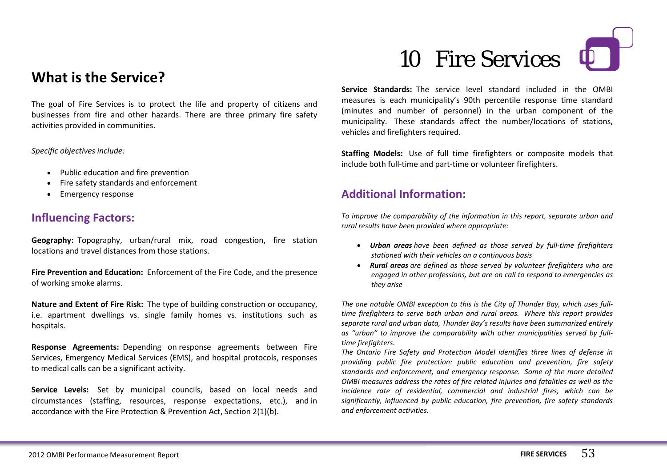# 10 Fire Services



## **What is the Service?**

The goal of Fire Services is to protect the life and property of citizens and businesses from fire and other hazards. There are three primary fire safety activities provided in communities.

*Specific objectives include:*

- Public education and fire prevention
- Fire safety standards and enforcement
- Emergency response

### **Influencing Factors:**

**Geography:** Topography, urban/rural mix, road congestion, fire station locations and travel distances from those stations.

**Fire Prevention and Education:** Enforcement of the Fire Code, and the presence of working smoke alarms.

**Nature and Extent of Fire Risk:** The type of building construction or occupancy, i.e. apartment dwellings vs. single family homes vs. institutions such as hospitals.

**Response Agreements:** Depending on response agreements between Fire Services, Emergency Medical Services (EMS), and hospital protocols, responses to medical calls can be a significant activity.

**Service Levels:** Set by municipal councils, based on local needs and circumstances (staffing, resources, response expectations, etc.), and in accordance with the Fire Protection & Prevention Act, Section 2(1)(b).

**Service Standards:** The service level standard included in the OMBI measures is each municipality's 90th percentile response time standard (minutes and number of personnel) in the urban component of the municipality. These standards affect the number/locations of stations, vehicles and firefighters required.

**Staffing Models:** Use of full time firefighters or composite models that include both full-time and part-time or volunteer firefighters.

## **Additional Information:**

*To improve the comparability of the information in this report, separate urban and rural results have been provided where appropriate:*

- *Urban areas have been defined as those served by full-time firefighters stationed with their vehicles on a continuous basis*
- *Rural areas are defined as those served by volunteer firefighters who are engaged in other professions, but are on call to respond to emergencies as they arise*

*The one notable OMBI exception to this is the City of Thunder Bay, which uses fulltime firefighters to serve both urban and rural areas. Where this report provides separate rural and urban data, Thunder Bay's results have been summarized entirely as "urban" to improve the comparability with other municipalities served by fulltime firefighters.*

*The Ontario Fire Safety and Protection Model identifies three lines of defense in providing public fire protection: public education and prevention, fire safety standards and enforcement, and emergency response. Some of the more detailed OMBI measures address the rates of fire related injuries and fatalities as well as the incidence rate of residential, commercial and industrial fires, which can be significantly, influenced by public education, fire prevention, fire safety standards and enforcement activities.*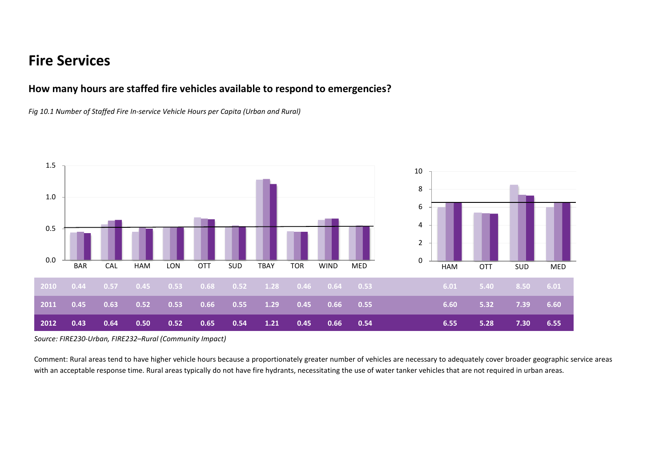## **Fire Services**

#### **How many hours are staffed fire vehicles available to respond to emergencies?**

*Fig 10.1 Number of Staffed Fire In-service Vehicle Hours per Capita (Urban and Rural)*



*Source: FIRE230-Urban, FIRE232–Rural (Community Impact)*

Comment: Rural areas tend to have higher vehicle hours because a proportionately greater number of vehicles are necessary to adequately cover broader geographic service areas with an acceptable response time. Rural areas typically do not have fire hydrants, necessitating the use of water tanker vehicles that are not required in urban areas.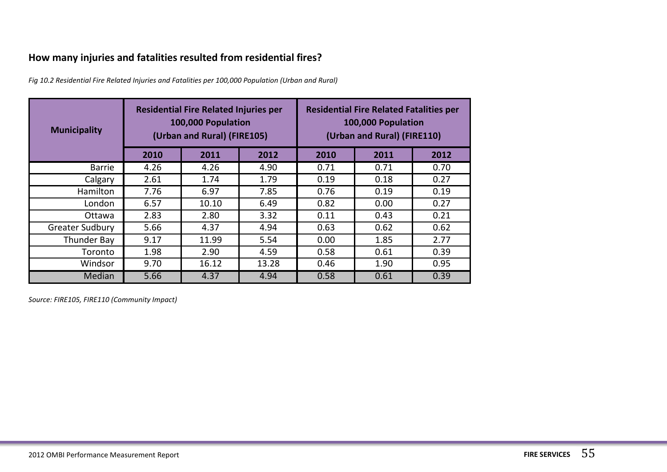## **How many injuries and fatalities resulted from residential fires?**

*Fig 10.2 Residential Fire Related Injuries and Fatalities per 100,000 Population (Urban and Rural)*

| <b>Municipality</b>    | <b>Residential Fire Related Injuries per</b><br>100,000 Population<br>(Urban and Rural) (FIRE105) |       |       | <b>Residential Fire Related Fatalities per</b><br>100,000 Population<br>(Urban and Rural) (FIRE110) |      |      |
|------------------------|---------------------------------------------------------------------------------------------------|-------|-------|-----------------------------------------------------------------------------------------------------|------|------|
|                        | 2010                                                                                              | 2011  | 2012  | 2010                                                                                                | 2011 | 2012 |
| <b>Barrie</b>          | 4.26                                                                                              | 4.26  | 4.90  | 0.71                                                                                                | 0.71 | 0.70 |
| Calgary                | 2.61                                                                                              | 1.74  | 1.79  | 0.19                                                                                                | 0.18 | 0.27 |
| Hamilton               | 7.76                                                                                              | 6.97  | 7.85  | 0.76                                                                                                | 0.19 | 0.19 |
| London                 | 6.57                                                                                              | 10.10 | 6.49  | 0.82                                                                                                | 0.00 | 0.27 |
| Ottawa                 | 2.83                                                                                              | 2.80  | 3.32  | 0.11                                                                                                | 0.43 | 0.21 |
| <b>Greater Sudbury</b> | 5.66                                                                                              | 4.37  | 4.94  | 0.63                                                                                                | 0.62 | 0.62 |
| Thunder Bay            | 9.17                                                                                              | 11.99 | 5.54  | 0.00                                                                                                | 1.85 | 2.77 |
| Toronto                | 1.98                                                                                              | 2.90  | 4.59  | 0.58                                                                                                | 0.61 | 0.39 |
| Windsor                | 9.70                                                                                              | 16.12 | 13.28 | 0.46                                                                                                | 1.90 | 0.95 |
| Median                 | 5.66                                                                                              | 4.37  | 4.94  | 0.58                                                                                                | 0.61 | 0.39 |

*Source: FIRE105, FIRE110 (Community Impact)*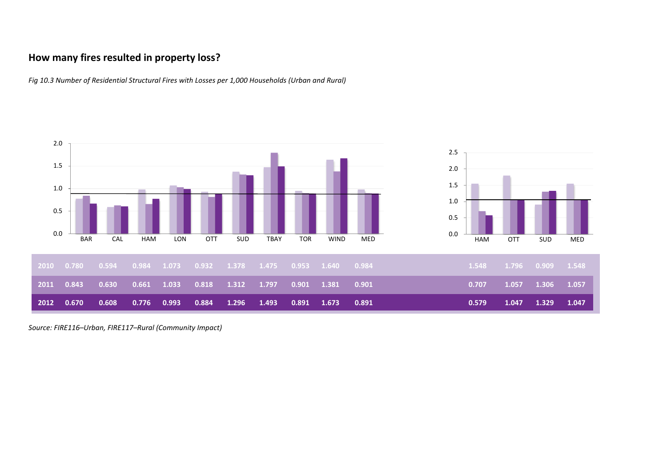#### **How many fires resulted in property loss?**

*Fig 10.3 Number of Residential Structural Fires with Losses per 1,000 Households (Urban and Rural)*



*Source: FIRE116–Urban, FIRE117–Rural (Community Impact)*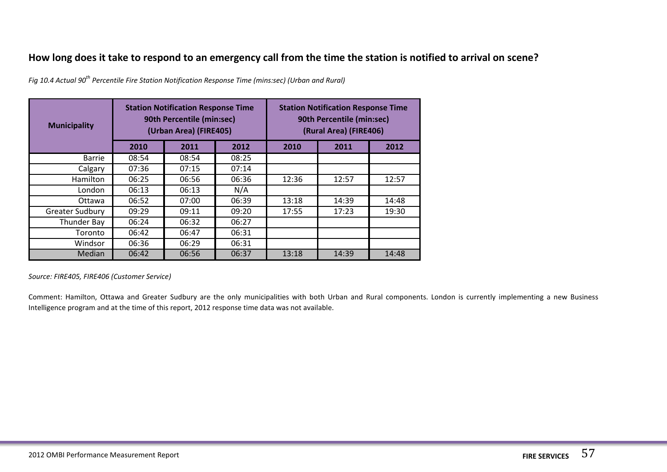#### **How long does it take to respond to an emergency call from the time the station is notified to arrival on scene?**

| <b>Municipality</b>    | <b>Station Notification Response Time</b><br>90th Percentile (min:sec)<br>(Urban Area) (FIRE405) |       |       | <b>Station Notification Response Time</b><br>90th Percentile (min:sec)<br>(Rural Area) (FIRE406) |       |       |
|------------------------|--------------------------------------------------------------------------------------------------|-------|-------|--------------------------------------------------------------------------------------------------|-------|-------|
|                        | 2010                                                                                             | 2011  | 2012  | 2010                                                                                             | 2011  | 2012  |
| <b>Barrie</b>          | 08:54                                                                                            | 08:54 | 08:25 |                                                                                                  |       |       |
| Calgary                | 07:36                                                                                            | 07:15 | 07:14 |                                                                                                  |       |       |
| <b>Hamilton</b>        | 06:25                                                                                            | 06:56 | 06:36 | 12:36                                                                                            | 12:57 | 12:57 |
| London                 | 06:13                                                                                            | 06:13 | N/A   |                                                                                                  |       |       |
| Ottawa                 | 06:52                                                                                            | 07:00 | 06:39 | 13:18                                                                                            | 14:39 | 14:48 |
| <b>Greater Sudbury</b> | 09:29                                                                                            | 09:11 | 09:20 | 17:55                                                                                            | 17:23 | 19:30 |
| Thunder Bay            | 06:24                                                                                            | 06:32 | 06:27 |                                                                                                  |       |       |
| Toronto                | 06:42                                                                                            | 06:47 | 06:31 |                                                                                                  |       |       |
| Windsor                | 06:36                                                                                            | 06:29 | 06:31 |                                                                                                  |       |       |
| Median                 | 06:42                                                                                            | 06:56 | 06:37 | 13:18                                                                                            | 14:39 | 14:48 |

*Fig 10.4 Actual 90<sup>th</sup> Percentile Fire Station Notification Response Time (mins:sec) (Urban and Rural)* 

*Source: FIRE405, FIRE406 (Customer Service)*

Comment: Hamilton, Ottawa and Greater Sudbury are the only municipalities with both Urban and Rural components. London is currently implementing a new Business Intelligence program and at the time of this report, 2012 response time data was not available.